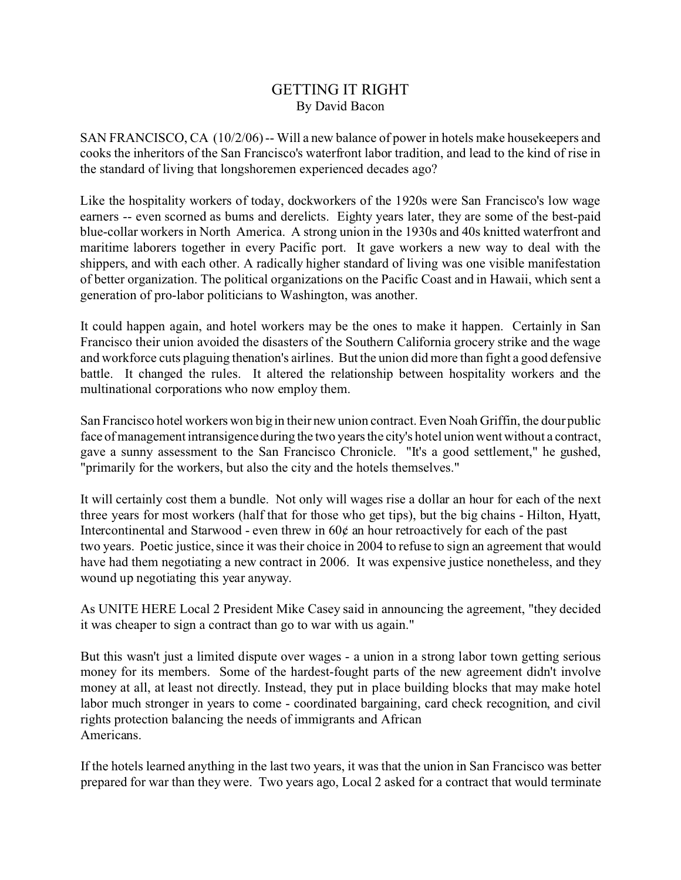## GETTING IT RIGHT By David Bacon

SAN FRANCISCO, CA (10/2/06) -- Will a new balance of power in hotels make housekeepers and cooks the inheritors of the San Francisco's waterfront labor tradition, and lead to the kind of rise in the standard of living that longshoremen experienced decades ago?

Like the hospitality workers of today, dockworkers of the 1920s were San Francisco's low wage earners -- even scorned as bums and derelicts. Eighty years later, they are some of the best-paid blue-collar workers in North America. A strong union in the 1930s and 40s knitted waterfront and maritime laborers together in every Pacific port. It gave workers a new way to deal with the shippers, and with each other. A radically higher standard of living was one visible manifestation of better organization. The political organizations on the Pacific Coast and in Hawaii, which sent a generation of pro-labor politicians to Washington, was another.

It could happen again, and hotel workers may be the ones to make it happen. Certainly in San Francisco their union avoided the disasters of the Southern California grocery strike and the wage and workforce cuts plaguing thenation's airlines. But the union did more than fight a good defensive battle. It changed the rules. It altered the relationship between hospitality workers and the multinational corporations who now employ them.

San Francisco hotel workers won big in their new union contract. Even Noah Griffin, the dour public face of management intransigence during the two years the city's hotel union went without a contract, gave a sunny assessment to the San Francisco Chronicle. "It's a good settlement," he gushed, "primarily for the workers, but also the city and the hotels themselves."

It will certainly cost them a bundle. Not only will wages rise a dollar an hour for each of the next three years for most workers (half that for those who get tips), but the big chains - Hilton, Hyatt, Intercontinental and Starwood - even threw in  $60¢$  an hour retroactively for each of the past two years. Poetic justice, since it was their choice in 2004 to refuse to sign an agreement that would have had them negotiating a new contract in 2006. It was expensive justice nonetheless, and they wound up negotiating this year anyway.

As UNITE HERE Local 2 President Mike Casey said in announcing the agreement, "they decided it was cheaper to sign a contract than go to war with us again."

But this wasn't just a limited dispute over wages - a union in a strong labor town getting serious money for its members. Some of the hardest-fought parts of the new agreement didn't involve money at all, at least not directly. Instead, they put in place building blocks that may make hotel labor much stronger in years to come - coordinated bargaining, card check recognition, and civil rights protection balancing the needs of immigrants and African Americans.

If the hotels learned anything in the last two years, it was that the union in San Francisco was better prepared for war than they were. Two years ago, Local 2 asked for a contract that would terminate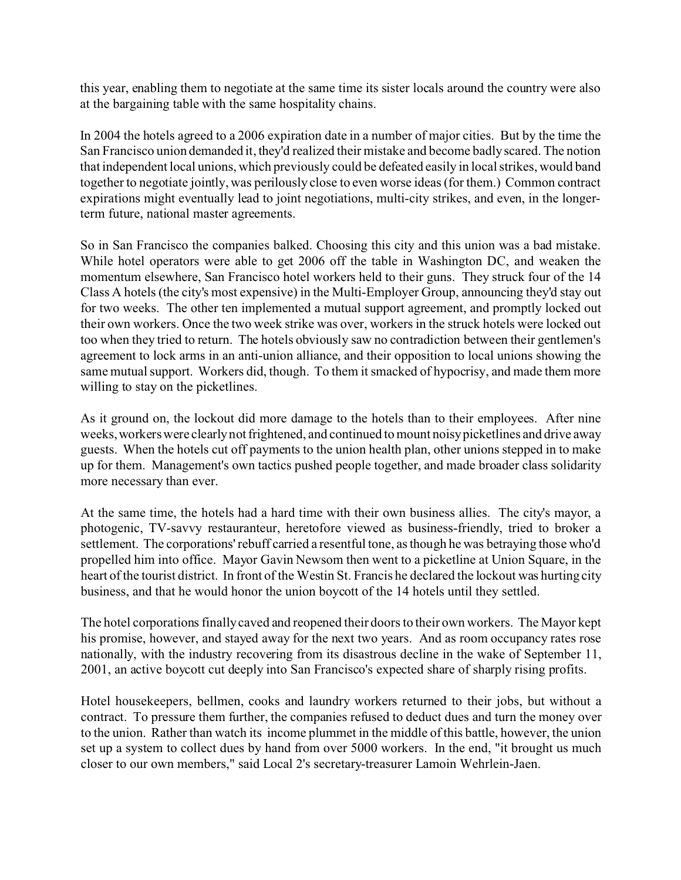this year, enabling them to negotiate at the same time its sister locals around the country were also at the bargaining table with the same hospitality chains.

In 2004 the hotels agreed to a 2006 expiration date in a number of major cities. But by the time the San Francisco union demanded it, they'd realized their mistake and become badly scared. The notion that independent local unions, which previously could be defeated easily in local strikes, would band together to negotiate jointly, was perilously close to even worse ideas (for them.) Common contract expirations might eventually lead to joint negotiations, multi-city strikes, and even, in the longerterm future, national master agreements.

So in San Francisco the companies balked. Choosing this city and this union was a bad mistake. While hotel operators were able to get 2006 off the table in Washington DC, and weaken the momentum elsewhere, San Francisco hotel workers held to their guns. They struck four of the 14 Class A hotels (the city's most expensive) in the Multi-Employer Group, announcing they'd stay out for two weeks. The other ten implemented a mutual support agreement, and promptly locked out their own workers. Once the two week strike was over, workers in the struck hotels were locked out too when they tried to return. The hotels obviously saw no contradiction between their gentlemen's agreement to lock arms in an anti-union alliance, and their opposition to local unions showing the same mutual support. Workers did, though. To them it smacked of hypocrisy, and made them more willing to stay on the picketlines.

As it ground on, the lockout did more damage to the hotels than to their employees. After nine weeks, workers were clearly not frightened, and continued to mount noisy picketlines and drive away guests. When the hotels cut off payments to the union health plan, other unions stepped in to make up for them. Management's own tactics pushed people together, and made broader class solidarity more necessary than ever.

At the same time, the hotels had a hard time with their own business allies. The city's mayor, a photogenic, TV-savvy restauranteur, heretofore viewed as business-friendly, tried to broker a settlement. The corporations' rebuff carried a resentful tone, as though he was betraying those who'd propelled him into office. Mayor Gavin Newsom then went to a picketline at Union Square, in the heart of the tourist district. In front of the Westin St. Francis he declared the lockout was hurting city business, and that he would honor the union boycott of the 14 hotels until they settled.

The hotel corporations finally caved and reopened their doors to their own workers. The Mayor kept his promise, however, and stayed away for the next two years. And as room occupancy rates rose nationally, with the industry recovering from its disastrous decline in the wake of September 11, 2001, an active boycott cut deeply into San Francisco's expected share of sharply rising profits.

Hotel housekeepers, bellmen, cooks and laundry workers returned to their jobs, but without a contract. To pressure them further, the companies refused to deduct dues and turn the money over to the union. Rather than watch its income plummet in the middle of this battle, however, the union set up a system to collect dues by hand from over 5000 workers. In the end, "it brought us much closer to our own members," said Local 2's secretary-treasurer Lamoin Wehrlein-Jaen.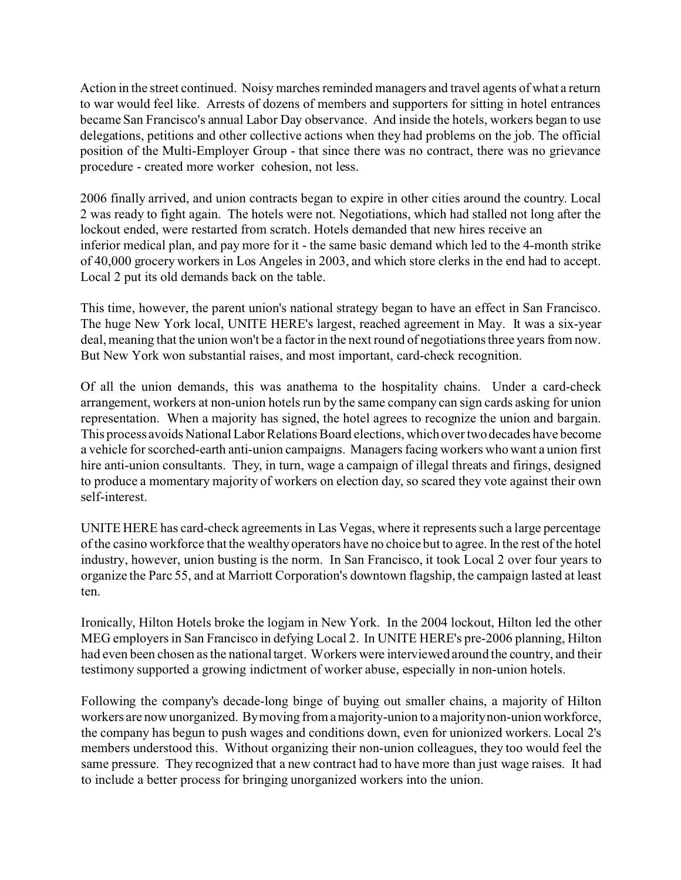Action in the street continued. Noisy marches reminded managers and travel agents of what a return to war would feel like. Arrests of dozens of members and supporters for sitting in hotel entrances became San Francisco's annual Labor Day observance. And inside the hotels, workers began to use delegations, petitions and other collective actions when they had problems on the job. The official position of the Multi-Employer Group - that since there was no contract, there was no grievance procedure - created more worker cohesion, not less.

2006 finally arrived, and union contracts began to expire in other cities around the country. Local 2 was ready to fight again. The hotels were not. Negotiations, which had stalled not long after the lockout ended, were restarted from scratch. Hotels demanded that new hires receive an inferior medical plan, and pay more for it - the same basic demand which led to the 4-month strike of 40,000 grocery workers in Los Angeles in 2003, and which store clerks in the end had to accept. Local 2 put its old demands back on the table.

This time, however, the parent union's national strategy began to have an effect in San Francisco. The huge New York local, UNITE HERE's largest, reached agreement in May. It was a six-year deal, meaning that the union won't be a factor in the next round of negotiations three years from now. But New York won substantial raises, and most important, card-check recognition.

Of all the union demands, this was anathema to the hospitality chains. Under a card-check arrangement, workers at non-union hotels run by the same company can sign cards asking for union representation. When a majority has signed, the hotel agrees to recognize the union and bargain. This process avoids National Labor Relations Board elections, which over two decades have become a vehicle for scorched-earth anti-union campaigns. Managers facing workers who want a union first hire anti-union consultants. They, in turn, wage a campaign of illegal threats and firings, designed to produce a momentary majority of workers on election day, so scared they vote against their own self-interest.

UNITE HERE has card-check agreements in Las Vegas, where it represents such a large percentage of the casino workforce that the wealthy operators have no choice but to agree. In the rest of the hotel industry, however, union busting is the norm. In San Francisco, it took Local 2 over four years to organize the Parc 55, and at Marriott Corporation's downtown flagship, the campaign lasted at least ten.

Ironically, Hilton Hotels broke the logjam in New York. In the 2004 lockout, Hilton led the other MEG employers in San Francisco in defying Local 2. In UNITE HERE's pre-2006 planning, Hilton had even been chosen as the national target. Workers were interviewed around the country, and their testimony supported a growing indictment of worker abuse, especially in non-union hotels.

Following the company's decade-long binge of buying out smaller chains, a majority of Hilton workers are now unorganized. By moving from a majority-union to a majority non-union workforce, the company has begun to push wages and conditions down, even for unionized workers. Local 2's members understood this. Without organizing their non-union colleagues, they too would feel the same pressure. They recognized that a new contract had to have more than just wage raises. It had to include a better process for bringing unorganized workers into the union.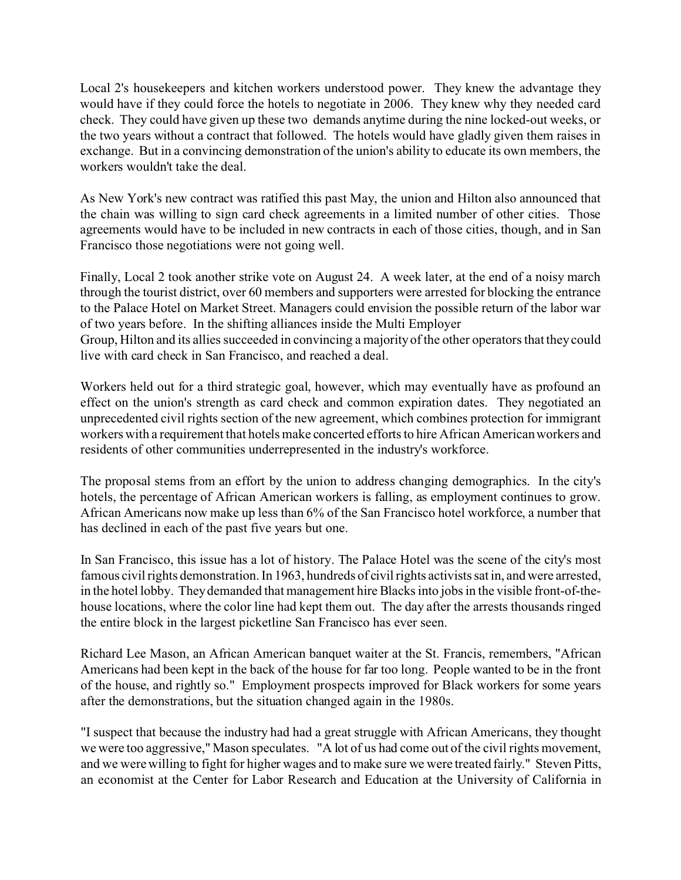Local 2's housekeepers and kitchen workers understood power. They knew the advantage they would have if they could force the hotels to negotiate in 2006. They knew why they needed card check. They could have given up these two demands anytime during the nine locked-out weeks, or the two years without a contract that followed. The hotels would have gladly given them raises in exchange. But in a convincing demonstration of the union's ability to educate its own members, the workers wouldn't take the deal.

As New York's new contract was ratified this past May, the union and Hilton also announced that the chain was willing to sign card check agreements in a limited number of other cities. Those agreements would have to be included in new contracts in each of those cities, though, and in San Francisco those negotiations were not going well.

Finally, Local 2 took another strike vote on August 24. A week later, at the end of a noisy march through the tourist district, over 60 members and supporters were arrested for blocking the entrance to the Palace Hotel on Market Street. Managers could envision the possible return of the labor war of two years before. In the shifting alliances inside the Multi Employer

Group, Hilton and its allies succeeded in convincing a majority of the other operators that they could live with card check in San Francisco, and reached a deal.

Workers held out for a third strategic goal, however, which may eventually have as profound an effect on the union's strength as card check and common expiration dates. They negotiated an unprecedented civil rights section of the new agreement, which combines protection for immigrant workers with a requirement that hotels make concerted efforts to hire African American workers and residents of other communities underrepresented in the industry's workforce.

The proposal stems from an effort by the union to address changing demographics. In the city's hotels, the percentage of African American workers is falling, as employment continues to grow. African Americans now make up less than 6% of the San Francisco hotel workforce, a number that has declined in each of the past five years but one.

In San Francisco, this issue has a lot of history. The Palace Hotel was the scene of the city's most famous civil rights demonstration. In 1963, hundreds of civil rights activists sat in, and were arrested, in the hotel lobby. They demanded that management hire Blacks into jobs in the visible front-of-thehouse locations, where the color line had kept them out. The day after the arrests thousands ringed the entire block in the largest picketline San Francisco has ever seen.

Richard Lee Mason, an African American banquet waiter at the St. Francis, remembers, "African Americans had been kept in the back of the house for far too long. People wanted to be in the front of the house, and rightly so." Employment prospects improved for Black workers for some years after the demonstrations, but the situation changed again in the 1980s.

"I suspect that because the industry had had a great struggle with African Americans, they thought we were too aggressive," Mason speculates. "A lot of us had come out of the civil rights movement, and we were willing to fight for higher wages and to make sure we were treated fairly." Steven Pitts, an economist at the Center for Labor Research and Education at the University of California in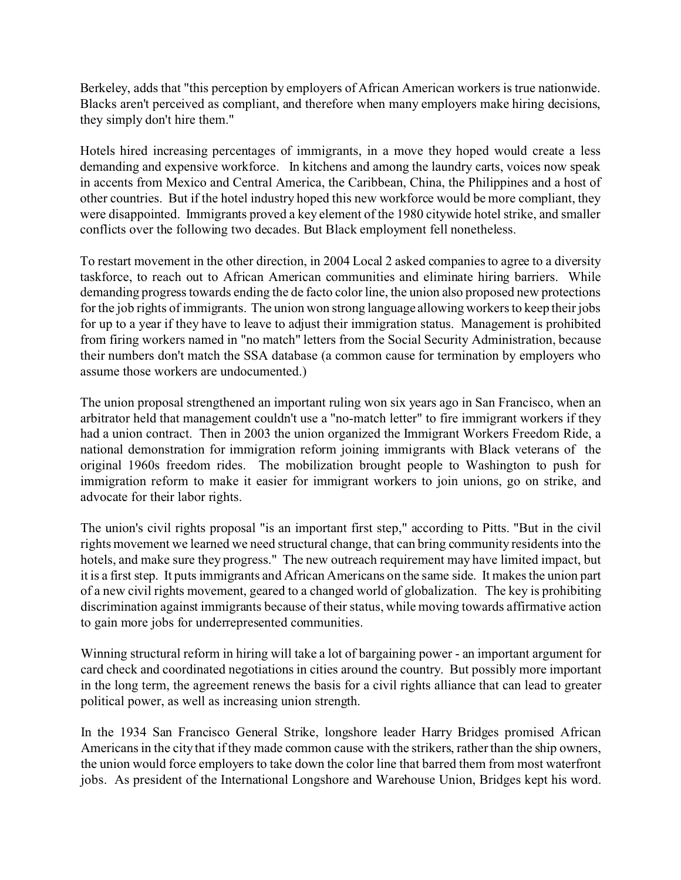Berkeley, adds that "this perception by employers of African American workers is true nationwide. Blacks aren't perceived as compliant, and therefore when many employers make hiring decisions, they simply don't hire them."

Hotels hired increasing percentages of immigrants, in a move they hoped would create a less demanding and expensive workforce. In kitchens and among the laundry carts, voices now speak in accents from Mexico and Central America, the Caribbean, China, the Philippines and a host of other countries. But if the hotel industry hoped this new workforce would be more compliant, they were disappointed. Immigrants proved a key element of the 1980 citywide hotel strike, and smaller conflicts over the following two decades. But Black employment fell nonetheless.

To restart movement in the other direction, in 2004 Local 2 asked companies to agree to a diversity taskforce, to reach out to African American communities and eliminate hiring barriers. While demanding progress towards ending the de facto color line, the union also proposed new protections for the job rights of immigrants. The union won strong language allowing workers to keep their jobs for up to a year if they have to leave to adjust their immigration status. Management is prohibited from firing workers named in "no match" letters from the Social Security Administration, because their numbers don't match the SSA database (a common cause for termination by employers who assume those workers are undocumented.)

The union proposal strengthened an important ruling won six years ago in San Francisco, when an arbitrator held that management couldn't use a "no-match letter" to fire immigrant workers if they had a union contract. Then in 2003 the union organized the Immigrant Workers Freedom Ride, a national demonstration for immigration reform joining immigrants with Black veterans of the original 1960s freedom rides. The mobilization brought people to Washington to push for immigration reform to make it easier for immigrant workers to join unions, go on strike, and advocate for their labor rights.

The union's civil rights proposal "is an important first step," according to Pitts. "But in the civil rights movement we learned we need structural change, that can bring community residents into the hotels, and make sure they progress." The new outreach requirement may have limited impact, but it is a first step. It puts immigrants and African Americans on the same side. It makes the union part of a new civil rights movement, geared to a changed world of globalization. The key is prohibiting discrimination against immigrants because of their status, while moving towards affirmative action to gain more jobs for underrepresented communities.

Winning structural reform in hiring will take a lot of bargaining power - an important argument for card check and coordinated negotiations in cities around the country. But possibly more important in the long term, the agreement renews the basis for a civil rights alliance that can lead to greater political power, as well as increasing union strength.

In the 1934 San Francisco General Strike, longshore leader Harry Bridges promised African Americans in the city that if they made common cause with the strikers, rather than the ship owners, the union would force employers to take down the color line that barred them from most waterfront jobs. As president of the International Longshore and Warehouse Union, Bridges kept his word.